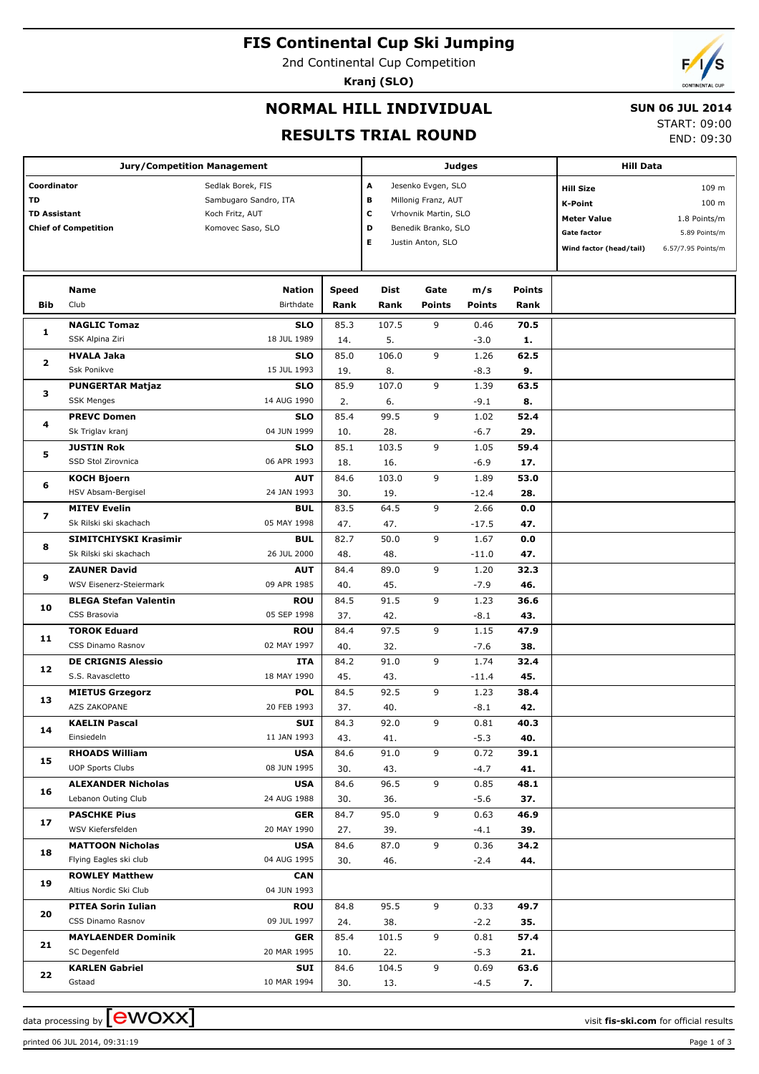# **FIS Continental Cup Ski Jumping**

2nd Continental Cup Competition

**Kranj (SLO)**



### **NORMAL HILL INDIVIDUAL**

#### **SUN 06 JUL 2014**

#### **RESULTS TRIAL ROUND**

START: 09:00

END: 09:30

| <b>Jury/Competition Management</b>                                             |                                                   |                                                                                    |                      |                                                                                                                                        |                       | Judges               |                       | <b>Hill Data</b>                                                                                          |                                                                                  |  |
|--------------------------------------------------------------------------------|---------------------------------------------------|------------------------------------------------------------------------------------|----------------------|----------------------------------------------------------------------------------------------------------------------------------------|-----------------------|----------------------|-----------------------|-----------------------------------------------------------------------------------------------------------|----------------------------------------------------------------------------------|--|
| Coordinator<br><b>TD</b><br><b>TD Assistant</b><br><b>Chief of Competition</b> |                                                   | Sedlak Borek, FIS<br>Sambugaro Sandro, ITA<br>Koch Fritz, AUT<br>Komovec Saso, SLO |                      | A<br>Jesenko Evgen, SLO<br>В<br>Millonig Franz, AUT<br>c<br>Vrhovnik Martin, SLO<br>D<br>Benedik Branko, SLO<br>Е<br>Justin Anton, SLO |                       |                      |                       | <b>Hill Size</b><br><b>K-Point</b><br><b>Meter Value</b><br><b>Gate factor</b><br>Wind factor (head/tail) | 109 m<br>100 <sub>m</sub><br>1.8 Points/m<br>5.89 Points/m<br>6.57/7.95 Points/m |  |
| Bib                                                                            | Name<br>Club                                      | <b>Nation</b><br><b>Birthdate</b>                                                  | <b>Speed</b><br>Rank | Dist<br>Rank                                                                                                                           | Gate<br><b>Points</b> | m/s<br><b>Points</b> | <b>Points</b><br>Rank |                                                                                                           |                                                                                  |  |
| 1                                                                              | <b>NAGLIC Tomaz</b>                               | <b>SLO</b>                                                                         | 85.3                 | 107.5                                                                                                                                  | 9                     | 0.46                 | 70.5                  |                                                                                                           |                                                                                  |  |
|                                                                                | SSK Alpina Ziri                                   | 18 JUL 1989                                                                        | 14.                  | 5.<br>106.0                                                                                                                            | 9                     | $-3.0$               | 1.<br>62.5            |                                                                                                           |                                                                                  |  |
| 2                                                                              | <b>HVALA Jaka</b><br>Ssk Ponikve                  | <b>SLO</b><br>15 JUL 1993                                                          | 85.0<br>19.          | 8.                                                                                                                                     |                       | 1.26<br>$-8.3$       | 9.                    |                                                                                                           |                                                                                  |  |
|                                                                                | <b>PUNGERTAR Matjaz</b>                           | <b>SLO</b>                                                                         | 85.9                 | 107.0                                                                                                                                  | 9                     | 1.39                 | 63.5                  |                                                                                                           |                                                                                  |  |
| з                                                                              | <b>SSK Menges</b>                                 | 14 AUG 1990                                                                        | 2.                   | 6.                                                                                                                                     |                       | $-9.1$               | 8.                    |                                                                                                           |                                                                                  |  |
|                                                                                | <b>PREVC Domen</b>                                | <b>SLO</b>                                                                         | 85.4                 | 99.5                                                                                                                                   | 9                     | 1.02                 | 52.4                  |                                                                                                           |                                                                                  |  |
| 4                                                                              | Sk Triglav kranj                                  | 04 JUN 1999                                                                        | 10.                  | 28.                                                                                                                                    |                       | $-6.7$               | 29.                   |                                                                                                           |                                                                                  |  |
| 5                                                                              | <b>JUSTIN Rok</b>                                 | <b>SLO</b>                                                                         | 85.1                 | 103.5                                                                                                                                  | 9                     | 1.05                 | 59.4                  |                                                                                                           |                                                                                  |  |
|                                                                                | SSD Stol Zirovnica                                | 06 APR 1993                                                                        | 18.                  | 16.                                                                                                                                    |                       | $-6.9$               | 17.                   |                                                                                                           |                                                                                  |  |
| 6                                                                              | <b>KOCH Bjoern</b>                                | <b>AUT</b>                                                                         | 84.6                 | 103.0                                                                                                                                  | 9                     | 1.89                 | 53.0                  |                                                                                                           |                                                                                  |  |
|                                                                                | HSV Absam-Bergisel                                | 24 JAN 1993                                                                        | 30.                  | 19.                                                                                                                                    |                       | $-12.4$              | 28.                   |                                                                                                           |                                                                                  |  |
| 7                                                                              | <b>MITEV Evelin</b>                               | <b>BUL</b>                                                                         | 83.5                 | 64.5                                                                                                                                   | 9                     | 2.66                 | 0.0                   |                                                                                                           |                                                                                  |  |
| 8                                                                              | Sk Rilski ski skachach                            | 05 MAY 1998                                                                        | 47.                  | 47.                                                                                                                                    |                       | $-17.5$              | 47.                   |                                                                                                           |                                                                                  |  |
|                                                                                | SIMITCHIYSKI Krasimir                             | <b>BUL</b>                                                                         | 82.7                 | 50.0                                                                                                                                   | 9                     | 1.67                 | 0.0                   |                                                                                                           |                                                                                  |  |
| 9                                                                              | Sk Rilski ski skachach                            | 26 JUL 2000                                                                        | 48.                  | 48.                                                                                                                                    | 9                     | $-11.0$              | 47.                   |                                                                                                           |                                                                                  |  |
|                                                                                | <b>ZAUNER David</b><br>WSV Eisenerz-Steiermark    | <b>AUT</b><br>09 APR 1985                                                          | 84.4                 | 89.0                                                                                                                                   |                       | 1.20<br>$-7.9$       | 32.3<br>46.           |                                                                                                           |                                                                                  |  |
|                                                                                | <b>BLEGA Stefan Valentin</b>                      | <b>ROU</b>                                                                         | 40.<br>84.5          | 45.<br>91.5                                                                                                                            | 9                     | 1.23                 | 36.6                  |                                                                                                           |                                                                                  |  |
| 10                                                                             | CSS Brasovia                                      | 05 SEP 1998                                                                        | 37.                  | 42.                                                                                                                                    |                       | $-8.1$               | 43.                   |                                                                                                           |                                                                                  |  |
|                                                                                | <b>TOROK Eduard</b>                               | <b>ROU</b>                                                                         | 84.4                 | 97.5                                                                                                                                   | 9                     | 1.15                 | 47.9                  |                                                                                                           |                                                                                  |  |
| 11                                                                             | CSS Dinamo Rasnov                                 | 02 MAY 1997                                                                        | 40.                  | 32.                                                                                                                                    |                       | $-7.6$               | 38.                   |                                                                                                           |                                                                                  |  |
|                                                                                | <b>DE CRIGNIS Alessio</b>                         | ITA                                                                                | 84.2                 | 91.0                                                                                                                                   | 9                     | 1.74                 | 32.4                  |                                                                                                           |                                                                                  |  |
| 12                                                                             | S.S. Ravascletto                                  | 18 MAY 1990                                                                        | 45.                  | 43.                                                                                                                                    |                       | $-11.4$              | 45.                   |                                                                                                           |                                                                                  |  |
|                                                                                | <b>MIETUS Grzegorz</b>                            | <b>POL</b>                                                                         | 84.5                 | 92.5                                                                                                                                   | 9                     | 1.23                 | 38.4                  |                                                                                                           |                                                                                  |  |
| 13                                                                             | AZS ZAKOPANE                                      | 20 FEB 1993                                                                        | 37.                  | 40.                                                                                                                                    |                       | $-8.1$               | 42.                   |                                                                                                           |                                                                                  |  |
| 14                                                                             | <b>KAELIN Pascal</b>                              | SUI                                                                                | 84.3                 | 92.0                                                                                                                                   | 9                     | 0.81                 | 40.3                  |                                                                                                           |                                                                                  |  |
|                                                                                | Einsiedeln                                        | 11 JAN 1993                                                                        | 43.                  | 41.                                                                                                                                    |                       | $-5.3$               | 40.                   |                                                                                                           |                                                                                  |  |
| 15                                                                             | <b>RHOADS William</b>                             | <b>USA</b>                                                                         | 84.6                 | 91.0                                                                                                                                   | 9                     | 0.72                 | 39.1                  |                                                                                                           |                                                                                  |  |
|                                                                                | <b>UOP Sports Clubs</b>                           | 08 JUN 1995                                                                        | 30.                  | 43.                                                                                                                                    |                       | $-4.7$               | 41.                   |                                                                                                           |                                                                                  |  |
| 16                                                                             | <b>ALEXANDER Nicholas</b>                         | <b>USA</b>                                                                         | 84.6                 | 96.5                                                                                                                                   | 9                     | 0.85                 | 48.1                  |                                                                                                           |                                                                                  |  |
|                                                                                | Lebanon Outing Club                               | 24 AUG 1988                                                                        | 30.                  | 36.                                                                                                                                    |                       | $-5.6$               | 37.                   |                                                                                                           |                                                                                  |  |
| 17                                                                             | <b>PASCHKE Pius</b><br>WSV Kiefersfelden          | <b>GER</b>                                                                         | 84.7                 | 95.0                                                                                                                                   | 9                     | 0.63                 | 46.9                  |                                                                                                           |                                                                                  |  |
|                                                                                |                                                   | 20 MAY 1990                                                                        | 27.                  | 39.                                                                                                                                    | 9                     | $-4.1$               | 39.                   |                                                                                                           |                                                                                  |  |
| 18                                                                             | <b>MATTOON Nicholas</b><br>Flying Eagles ski club | <b>USA</b><br>04 AUG 1995                                                          | 84.6<br>30.          | 87.0<br>46.                                                                                                                            |                       | 0.36<br>$-2.4$       | 34.2<br>44.           |                                                                                                           |                                                                                  |  |
|                                                                                | <b>ROWLEY Matthew</b>                             | <b>CAN</b>                                                                         |                      |                                                                                                                                        |                       |                      |                       |                                                                                                           |                                                                                  |  |
| 19                                                                             | Altius Nordic Ski Club                            | 04 JUN 1993                                                                        |                      |                                                                                                                                        |                       |                      |                       |                                                                                                           |                                                                                  |  |
|                                                                                | <b>PITEA Sorin Iulian</b>                         | <b>ROU</b>                                                                         | 84.8                 | 95.5                                                                                                                                   | 9                     | 0.33                 | 49.7                  |                                                                                                           |                                                                                  |  |
| 20                                                                             | CSS Dinamo Rasnov                                 | 09 JUL 1997                                                                        | 24.                  | 38.                                                                                                                                    |                       | $-2.2$               | 35.                   |                                                                                                           |                                                                                  |  |
|                                                                                | <b>MAYLAENDER Dominik</b>                         | <b>GER</b>                                                                         | 85.4                 | 101.5                                                                                                                                  | 9                     | 0.81                 | 57.4                  |                                                                                                           |                                                                                  |  |
| 21                                                                             | SC Degenfeld                                      | 20 MAR 1995                                                                        | 10.                  | 22.                                                                                                                                    |                       | $-5.3$               | 21.                   |                                                                                                           |                                                                                  |  |
|                                                                                | <b>KARLEN Gabriel</b>                             | SUI                                                                                | 84.6                 | 104.5                                                                                                                                  | 9                     | 0.69                 | 63.6                  |                                                                                                           |                                                                                  |  |
| 22                                                                             | Gstaad                                            | 10 MAR 1994                                                                        | 30.                  | 13.                                                                                                                                    |                       | $-4.5$               | 7.                    |                                                                                                           |                                                                                  |  |

data processing by **CWOXX** and  $\overline{C}$  and  $\overline{C}$  and  $\overline{C}$  and  $\overline{C}$  and  $\overline{C}$  and  $\overline{C}$  and  $\overline{C}$  and  $\overline{C}$  and  $\overline{C}$  and  $\overline{C}$  and  $\overline{C}$  and  $\overline{C}$  and  $\overline{C}$  and  $\overline{C}$  and  $\overline{C}$ 

printed 06 JUL 2014, 09:31:19 Page 1 of 3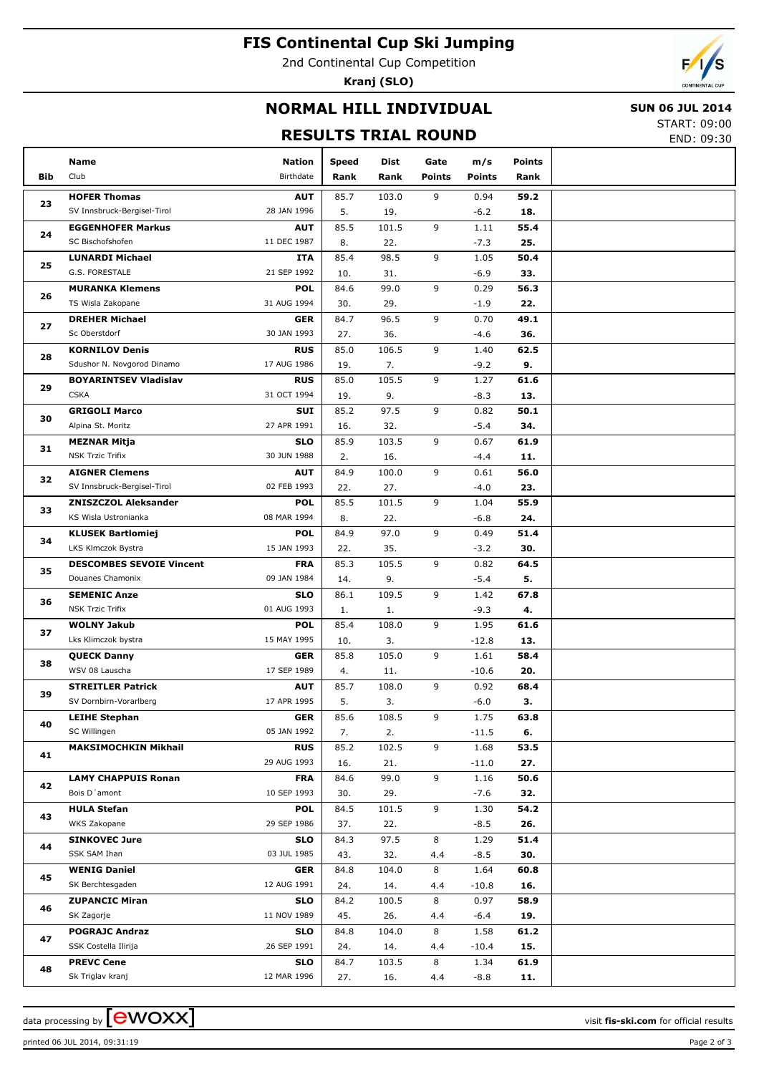# **FIS Continental Cup Ski Jumping**

2nd Continental Cup Competition

**Kranj (SLO)**



### **NORMAL HILL INDIVIDUAL**

#### **SUN 06 JUL 2014**

### **RESULTS TRIAL ROUND**

START: 09:00 END: 09:30

|     | Name                                      | <b>Nation</b>             | <b>Speed</b> | Dist        | Gate          | m/s             | <b>Points</b> |  |
|-----|-------------------------------------------|---------------------------|--------------|-------------|---------------|-----------------|---------------|--|
| Bib | Club                                      | Birthdate                 | Rank         | Rank        | <b>Points</b> | <b>Points</b>   | Rank          |  |
|     | <b>HOFER Thomas</b>                       | <b>AUT</b>                | 85.7         | 103.0       | 9             | 0.94            | 59.2          |  |
| 23  | SV Innsbruck-Bergisel-Tirol               | 28 JAN 1996               | 5.           | 19.         |               | $-6.2$          | 18.           |  |
|     | <b>EGGENHOFER Markus</b>                  | <b>AUT</b>                | 85.5         | 101.5       | 9             | 1.11            | 55.4          |  |
| 24  | SC Bischofshofen                          | 11 DEC 1987               | 8.           | 22.         |               | $-7.3$          | 25.           |  |
|     | <b>LUNARDI Michael</b>                    | ITA                       | 85.4         | 98.5        | 9             | 1.05            | 50.4          |  |
| 25  | G.S. FORESTALE                            | 21 SEP 1992               | 10.          | 31.         |               | $-6.9$          | 33.           |  |
|     | <b>MURANKA Klemens</b>                    | <b>POL</b>                | 84.6         | 99.0        | 9             | 0.29            | 56.3          |  |
| 26  | TS Wisla Zakopane                         | 31 AUG 1994               | 30.          | 29.         |               | $-1.9$          | 22.           |  |
|     | <b>DREHER Michael</b>                     | <b>GER</b>                | 84.7         | 96.5        | 9             | 0.70            | 49.1          |  |
| 27  | Sc Oberstdorf                             | 30 JAN 1993               | 27.          | 36.         |               | $-4.6$          | 36.           |  |
| 28  | <b>KORNILOV Denis</b>                     | <b>RUS</b>                | 85.0         | 106.5       | 9             | 1.40            | 62.5          |  |
|     | Sdushor N. Novgorod Dinamo                | 17 AUG 1986               | 19.          | 7.          |               | $-9.2$          | 9.            |  |
| 29  | <b>BOYARINTSEV Vladislav</b>              | <b>RUS</b>                | 85.0         | 105.5       | 9             | 1.27            | 61.6          |  |
|     | <b>CSKA</b>                               | 31 OCT 1994               | 19.          | 9.          |               | $-8.3$          | 13.           |  |
| 30  | <b>GRIGOLI Marco</b>                      | SUI                       | 85.2         | 97.5        | 9             | 0.82            | 50.1          |  |
|     | Alpina St. Moritz                         | 27 APR 1991               | 16.          | 32.         |               | $-5.4$          | 34.           |  |
| 31  | <b>MEZNAR Mitja</b>                       | <b>SLO</b>                | 85.9         | 103.5       | 9             | 0.67            | 61.9          |  |
|     | <b>NSK Trzic Trifix</b>                   | 30 JUN 1988               | 2.           | 16.         |               | $-4.4$          | 11.           |  |
| 32  | <b>AIGNER Clemens</b>                     | <b>AUT</b>                | 84.9         | 100.0       | 9             | 0.61            | 56.0          |  |
|     | SV Innsbruck-Bergisel-Tirol               | 02 FEB 1993               | 22.          | 27.         |               | $-4.0$          | 23.           |  |
| 33  | <b>ZNISZCZOL Aleksander</b>               | <b>POL</b>                | 85.5         | 101.5       | 9             | 1.04            | 55.9          |  |
|     | KS Wisla Ustronianka                      | 08 MAR 1994               | 8.           | 22.         |               | $-6.8$          | 24.           |  |
| 34  | <b>KLUSEK Bartlomiej</b>                  | <b>POL</b>                | 84.9         | 97.0        | 9             | 0.49            | 51.4          |  |
|     | LKS Klmczok Bystra                        | 15 JAN 1993               | 22.          | 35.         |               | $-3.2$          | 30.           |  |
| 35  | <b>DESCOMBES SEVOIE Vincent</b>           | <b>FRA</b>                | 85.3         | 105.5       | 9             | 0.82            | 64.5          |  |
|     | Douanes Chamonix                          | 09 JAN 1984               | 14.          | 9.          |               | $-5.4$          | 5.            |  |
| 36  | <b>SEMENIC Anze</b>                       | <b>SLO</b>                | 86.1         | 109.5       | 9             | 1.42            | 67.8          |  |
|     | <b>NSK Trzic Trifix</b>                   | 01 AUG 1993               | 1.           | 1.          | 9             | $-9.3$          | 4.            |  |
| 37  | <b>WOLNY Jakub</b><br>Lks Klimczok bystra | <b>POL</b><br>15 MAY 1995 | 85.4<br>10.  | 108.0<br>3. |               | 1.95<br>$-12.8$ | 61.6<br>13.   |  |
|     | <b>QUECK Danny</b>                        | <b>GER</b>                | 85.8         | 105.0       | 9             | 1.61            | 58.4          |  |
| 38  | WSV 08 Lauscha                            | 17 SEP 1989               | 4.           | 11.         |               | $-10.6$         | 20.           |  |
|     | <b>STREITLER Patrick</b>                  | <b>AUT</b>                | 85.7         | 108.0       | 9             | 0.92            | 68.4          |  |
| 39  | SV Dornbirn-Vorarlberg                    | 17 APR 1995               | 5.           | 3.          |               | $-6.0$          | з.            |  |
|     | <b>LEIHE Stephan</b>                      | <b>GER</b>                | 85.6         | 108.5       | 9             | 1.75            | 63.8          |  |
| 40  | SC Willingen                              | 05 JAN 1992               | 7.           | 2.          |               | $-11.5$         | 6.            |  |
|     | <b>MAKSIMOCHKIN Mikhail</b>               | <b>RUS</b>                | 85.2         | 102.5       | 9             | 1.68            | 53.5          |  |
| 41  |                                           | 29 AUG 1993               | 16.          | 21.         |               | $-11.0$         | 27.           |  |
|     | <b>LAMY CHAPPUIS Ronan</b>                | <b>FRA</b>                | 84.6         | 99.0        | 9             | 1.16            | 50.6          |  |
| 42  | Bois D'amont                              | 10 SEP 1993               | 30.          | 29.         |               | $-7.6$          | 32.           |  |
|     | <b>HULA Stefan</b>                        | <b>POL</b>                | 84.5         | 101.5       | 9             | 1.30            | 54.2          |  |
| 43  | WKS Zakopane                              | 29 SEP 1986               | 37.          | 22.         |               | -8.5            | 26.           |  |
|     | <b>SINKOVEC Jure</b>                      | <b>SLO</b>                | 84.3         | 97.5        | 8             | 1.29            | 51.4          |  |
| 44  | SSK SAM Ihan                              | 03 JUL 1985               | 43.          | 32.         | 4.4           | -8.5            | 30.           |  |
| 45  | <b>WENIG Daniel</b>                       | <b>GER</b>                | 84.8         | 104.0       | 8             | 1.64            | 60.8          |  |
|     | SK Berchtesgaden                          | 12 AUG 1991               | 24.          | 14.         | 4.4           | $-10.8$         | 16.           |  |
| 46  | <b>ZUPANCIC Miran</b>                     | <b>SLO</b>                | 84.2         | 100.5       | 8             | 0.97            | 58.9          |  |
|     | SK Zagorje                                | 11 NOV 1989               | 45.          | 26.         | 4.4           | $-6.4$          | 19.           |  |
| 47  | <b>POGRAJC Andraz</b>                     | <b>SLO</b>                | 84.8         | 104.0       | 8             | 1.58            | 61.2          |  |
|     | SSK Costella Ilirija                      | 26 SEP 1991               | 24.          | 14.         | 4.4           | $-10.4$         | 15.           |  |
| 48  | <b>PREVC Cene</b>                         | <b>SLO</b>                | 84.7         | 103.5       | 8             | 1.34            | 61.9          |  |
|     | Sk Triglav kranj                          | 12 MAR 1996               | 27.          | 16.         | 4.4           | $-8.8$          | 11.           |  |

printed 06 JUL 2014, 09:31:19 Page 2 of 3

data processing by **CWOXX**  $\blacksquare$